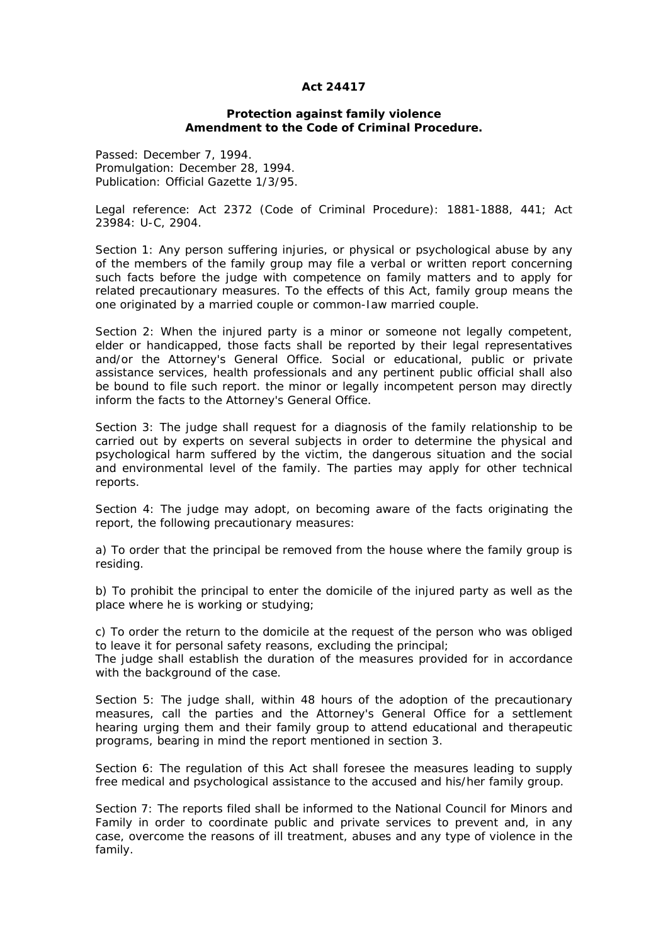## **Act 24417**

## **Protection against family violence Amendment to the Code of Criminal Procedure.**

Passed: December 7, 1994. Promulgation: December 28, 1994. Publication: Official Gazette 1/3/95.

Legal reference: Act 2372 (Code of Criminal Procedure): 1881-1888, 441; Act 23984: U-C, 2904.

Section 1: Any person suffering injuries, or physical or psychological abuse by any of the members of the family group may file a verbal or written report concerning such facts before the judge with competence on family matters and to apply for related precautionary measures. To the effects of this Act, family group means the one originated by a married couple or common-Iaw married couple.

Section 2: When the injured party is a minor or someone not legally competent, elder or handicapped, those facts shall be reported by their legal representatives and/or the Attorney's General Office. Social or educational, public or private assistance services, health professionals and any pertinent public official shall also be bound to file such report. the minor or legally incompetent person may directly inform the facts to the Attorney's General Office.

Section 3: The judge shall request for a diagnosis of the family relationship to be carried out by experts on several subjects in order to determine the physical and psychological harm suffered by the victim, the dangerous situation and the social and environmental level of the family. The parties may apply for other technical reports.

Section 4: The judge may adopt, on becoming aware of the facts originating the report, the following precautionary measures:

a) To order that the principal be removed from the house where the family group is residing.

b) To prohibit the principal to enter the domicile of the injured party as well as the place where he is working or studying;

c) To order the return to the domicile at the request of the person who was obliged to leave it for personal safety reasons, excluding the principal;

The judge shall establish the duration of the measures provided for in accordance with the background of the case.

Section 5: The judge shall, within 48 hours of the adoption of the precautionary measures, call the parties and the Attorney's General Office for a settlement hearing urging them and their family group to attend educational and therapeutic programs, bearing in mind the report mentioned in section 3.

Section 6: The regulation of this Act shall foresee the measures leading to supply free medical and psychological assistance to the accused and his/her family group.

Section 7: The reports filed shall be informed to the National Council for Minors and Family in order to coordinate public and private services to prevent and, in any case, overcome the reasons of ill treatment, abuses and any type of violence in the family.